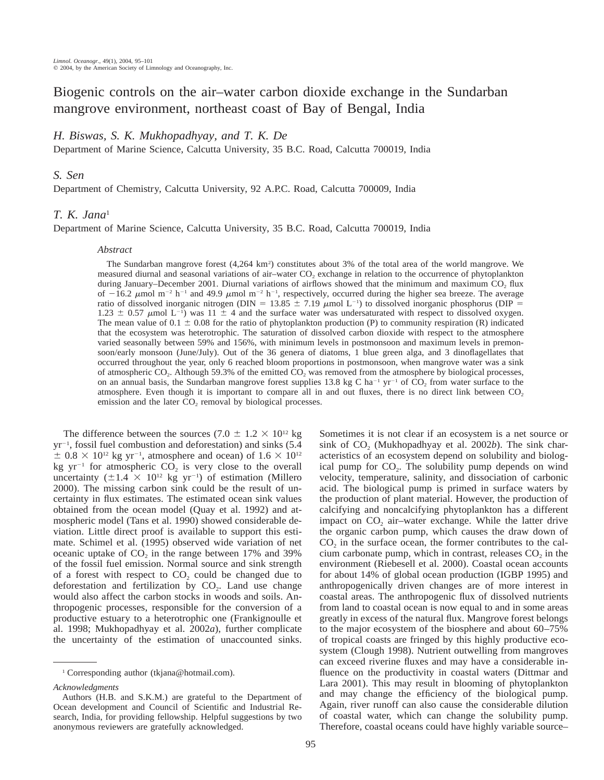# Biogenic controls on the air–water carbon dioxide exchange in the Sundarban mangrove environment, northeast coast of Bay of Bengal, India

# *H. Biswas, S. K. Mukhopadhyay, and T. K. De*

Department of Marine Science, Calcutta University, 35 B.C. Road, Calcutta 700019, India

## *S. Sen*

Department of Chemistry, Calcutta University, 92 A.P.C. Road, Calcutta 700009, India

### *T. K. Jana*<sup>1</sup>

Department of Marine Science, Calcutta University, 35 B.C. Road, Calcutta 700019, India

### *Abstract*

The Sundarban mangrove forest (4,264 km<sup>2</sup>) constitutes about 3% of the total area of the world mangrove. We measured diurnal and seasonal variations of air–water  $CO<sub>2</sub>$  exchange in relation to the occurrence of phytoplankton during January–December 2001. Diurnal variations of airflows showed that the minimum and maximum CO<sub>2</sub> flux of  $-16.2 \mu$ mol m<sup>-2</sup> h<sup>-1</sup> and 49.9  $\mu$ mol m<sup>-2</sup> h<sup>-1</sup>, respectively, occurred during the higher sea breeze. The average ratio of dissolved inorganic nitrogen (DIN = 13.85  $\pm$  7.19  $\mu$ mol L<sup>-1</sup>) to dissolved inorganic phosphorus (DIP =  $1.23 \pm 0.57$   $\mu$ mol L<sup>-1</sup>) was 11  $\pm$  4 and the surface water was undersaturated with respect to dissolved oxygen. The mean value of  $0.1 \pm 0.08$  for the ratio of phytoplankton production (P) to community respiration (R) indicated that the ecosystem was heterotrophic. The saturation of dissolved carbon dioxide with respect to the atmosphere varied seasonally between 59% and 156%, with minimum levels in postmonsoon and maximum levels in premonsoon/early monsoon (June/July). Out of the 36 genera of diatoms, 1 blue green alga, and 3 dinoflagellates that occurred throughout the year, only 6 reached bloom proportions in postmonsoon, when mangrove water was a sink of atmospheric  $CO_2$ . Although 59.3% of the emitted  $CO_2$  was removed from the atmosphere by biological processes, on an annual basis, the Sundarban mangrove forest supplies 13.8 kg C ha<sup>-1</sup> yr<sup>-1</sup> of  $CO_2$  from water surface to the atmosphere. Even though it is important to compare all in and out fluxes, there is no direct link between CO<sub>2</sub> emission and the later  $CO<sub>2</sub>$  removal by biological processes.

The difference between the sources (7.0  $\pm$  1.2  $\times$  10<sup>12</sup> kg  $yr^{-1}$ , fossil fuel combustion and deforestation) and sinks (5.4)  $\pm$  0.8  $\times$  10<sup>12</sup> kg yr<sup>-1</sup>, atmosphere and ocean) of 1.6  $\times$  10<sup>12</sup> kg  $yr^{-1}$  for atmospheric  $CO_2$  is very close to the overall uncertainty ( $\pm 1.4 \times 10^{12}$  kg yr<sup>-1</sup>) of estimation (Millero 2000). The missing carbon sink could be the result of uncertainty in flux estimates. The estimated ocean sink values obtained from the ocean model (Quay et al. 1992) and atmospheric model (Tans et al. 1990) showed considerable deviation. Little direct proof is available to support this estimate. Schimel et al. (1995) observed wide variation of net oceanic uptake of  $CO<sub>2</sub>$  in the range between 17% and 39% of the fossil fuel emission. Normal source and sink strength of a forest with respect to  $CO<sub>2</sub>$  could be changed due to deforestation and fertilization by  $CO<sub>2</sub>$ . Land use change would also affect the carbon stocks in woods and soils. Anthropogenic processes, responsible for the conversion of a productive estuary to a heterotrophic one (Frankignoulle et al. 1998; Mukhopadhyay et al. 2002*a*), further complicate the uncertainty of the estimation of unaccounted sinks.

can exceed riverine fluxes and may have a considerable influence on the productivity in coastal waters (Dittmar and Lara 2001). This may result in blooming of phytoplankton and may change the efficiency of the biological pump. Again, river runoff can also cause the considerable dilution of coastal water, which can change the solubility pump. Therefore, coastal oceans could have highly variable source–

Sometimes it is not clear if an ecosystem is a net source or  $\sin k$  of  $CO<sub>2</sub>$  (Mukhopadhyay et al. 2002*b*). The sink characteristics of an ecosystem depend on solubility and biological pump for  $CO<sub>2</sub>$ . The solubility pump depends on wind velocity, temperature, salinity, and dissociation of carbonic acid. The biological pump is primed in surface waters by the production of plant material. However, the production of calcifying and noncalcifying phytoplankton has a different impact on  $CO<sub>2</sub>$  air–water exchange. While the latter drive the organic carbon pump, which causes the draw down of  $CO<sub>2</sub>$  in the surface ocean, the former contributes to the calcium carbonate pump, which in contrast, releases  $CO<sub>2</sub>$  in the environment (Riebesell et al. 2000). Coastal ocean accounts for about 14% of global ocean production (IGBP 1995) and anthropogenically driven changes are of more interest in coastal areas. The anthropogenic flux of dissolved nutrients from land to coastal ocean is now equal to and in some areas greatly in excess of the natural flux. Mangrove forest belongs to the major ecosystem of the biosphere and about 60–75% of tropical coasts are fringed by this highly productive ecosystem (Clough 1998). Nutrient outwelling from mangroves

<sup>&</sup>lt;sup>1</sup> Corresponding author (tkjana@hotmail.com).

*Acknowledgments*

Authors (H.B. and S.K.M.) are grateful to the Department of Ocean development and Council of Scientific and Industrial Research, India, for providing fellowship. Helpful suggestions by two anonymous reviewers are gratefully acknowledged.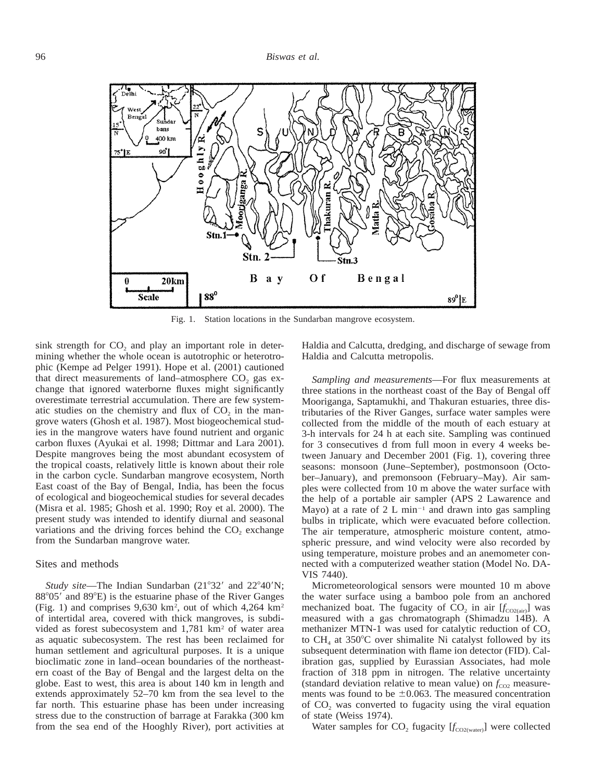

Fig. 1. Station locations in the Sundarban mangrove ecosystem.

sink strength for  $CO<sub>2</sub>$  and play an important role in determining whether the whole ocean is autotrophic or heterotrophic (Kempe ad Pelger 1991). Hope et al. (2001) cautioned that direct measurements of land–atmosphere  $CO<sub>2</sub>$  gas exchange that ignored waterborne fluxes might significantly overestimate terrestrial accumulation. There are few systematic studies on the chemistry and flux of  $CO<sub>2</sub>$  in the mangrove waters (Ghosh et al. 1987). Most biogeochemical studies in the mangrove waters have found nutrient and organic carbon fluxes (Ayukai et al. 1998; Dittmar and Lara 2001). Despite mangroves being the most abundant ecosystem of the tropical coasts, relatively little is known about their role in the carbon cycle. Sundarban mangrove ecosystem, North East coast of the Bay of Bengal, India, has been the focus of ecological and biogeochemical studies for several decades (Misra et al. 1985; Ghosh et al. 1990; Roy et al. 2000). The present study was intended to identify diurnal and seasonal variations and the driving forces behind the  $CO<sub>2</sub>$  exchange from the Sundarban mangrove water.

#### Sites and methods

*Study site*—The Indian Sundarban (21°32' and 22°40'N;  $88^{\circ}05'$  and  $89^{\circ}E$ ) is the estuarine phase of the River Ganges (Fig. 1) and comprises  $9,630 \text{ km}^2$ , out of which  $4,264 \text{ km}^2$ of intertidal area, covered with thick mangroves, is subdivided as forest subecosystem and 1,781 km<sup>2</sup> of water area as aquatic subecosystem. The rest has been reclaimed for human settlement and agricultural purposes. It is a unique bioclimatic zone in land–ocean boundaries of the northeastern coast of the Bay of Bengal and the largest delta on the globe. East to west, this area is about 140 km in length and extends approximately 52–70 km from the sea level to the far north. This estuarine phase has been under increasing stress due to the construction of barrage at Farakka (300 km from the sea end of the Hooghly River), port activities at

Haldia and Calcutta, dredging, and discharge of sewage from Haldia and Calcutta metropolis.

*Sampling and measurements*—For flux measurements at three stations in the northeast coast of the Bay of Bengal off Mooriganga, Saptamukhi, and Thakuran estuaries, three distributaries of the River Ganges, surface water samples were collected from the middle of the mouth of each estuary at 3-h intervals for 24 h at each site. Sampling was continued for 3 consecutives d from full moon in every 4 weeks between January and December 2001 (Fig. 1), covering three seasons: monsoon (June–September), postmonsoon (October–January), and premonsoon (February–May). Air samples were collected from 10 m above the water surface with the help of a portable air sampler (APS 2 Lawarence and Mayo) at a rate of  $2 L min<sup>-1</sup>$  and drawn into gas sampling bulbs in triplicate, which were evacuated before collection. The air temperature, atmospheric moisture content, atmospheric pressure, and wind velocity were also recorded by using temperature, moisture probes and an anemometer connected with a computerized weather station (Model No. DA-VIS 7440).

Micrometeorological sensors were mounted 10 m above the water surface using a bamboo pole from an anchored mechanized boat. The fugacity of  $CO_2$  in air  $[f_{CO2(air)}]$  was measured with a gas chromatograph (Shimadzu 14B). A methanizer MTN-1 was used for catalytic reduction of  $CO<sub>2</sub>$ to  $CH<sub>4</sub>$  at 350°C over shimalite Ni catalyst followed by its subsequent determination with flame ion detector (FID). Calibration gas, supplied by Eurassian Associates, had mole fraction of 318 ppm in nitrogen. The relative uncertainty (standard deviation relative to mean value) on  $f_{CO2}$  measurements was found to be  $\pm 0.063$ . The measured concentration of CO<sub>2</sub> was converted to fugacity using the viral equation of state (Weiss 1974).

Water samples for  $CO_2$  fugacity  $[f_{CO2(water)}]$  were collected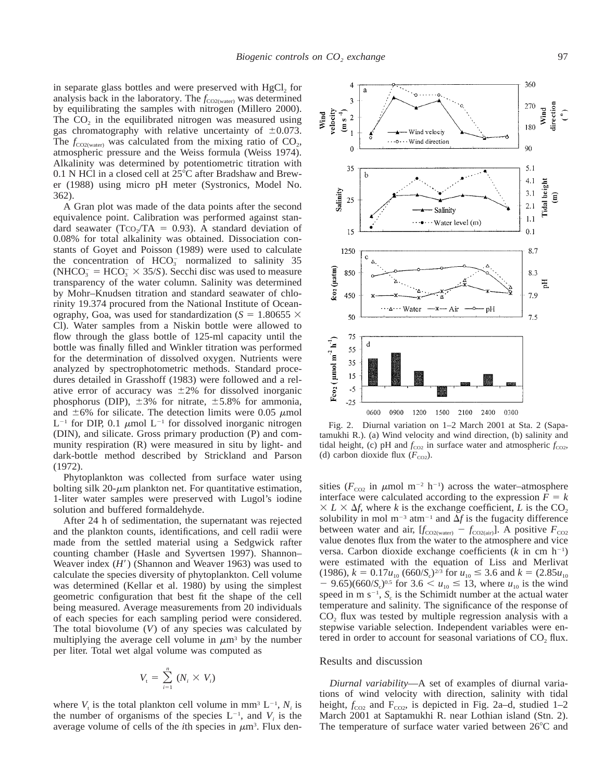a

in separate glass bottles and were preserved with  $HgCl<sub>2</sub>$  for analysis back in the laboratory. The  $f_{CO2(water)}$  was determined by equilibrating the samples with nitrogen (Millero 2000). The  $CO<sub>2</sub>$  in the equilibrated nitrogen was measured using gas chromatography with relative uncertainty of  $\pm 0.073$ . The  $f_{\text{CO2(water)}}$  was calculated from the mixing ratio of  $CO_2$ , atmospheric pressure and the Weiss formula (Weiss 1974). Alkalinity was determined by potentiometric titration with  $0.1$  N HCl in a closed cell at  $25^{\circ}$ C after Bradshaw and Brewer (1988) using micro pH meter (Systronics, Model No. 362).

A Gran plot was made of the data points after the second equivalence point. Calibration was performed against standard seawater (TCO<sub>2</sub>/TA = 0.93). A standard deviation of 0.08% for total alkalinity was obtained. Dissociation constants of Goyet and Poisson (1989) were used to calculate the concentration of  $HCO<sub>3</sub>$  normalized to salinity 35 (NHCO<sub>3</sub> = HCO<sub>3</sub>  $\times$  35/*S*). Secchi disc was used to measure transparency of the water column. Salinity was determined by Mohr–Knudsen titration and standard seawater of chlorinity 19.374 procured from the National Institute of Oceanography, Goa, was used for standardization ( $S = 1.80655 \times$ Cl). Water samples from a Niskin bottle were allowed to flow through the glass bottle of 125-ml capacity until the bottle was finally filled and Winkler titration was performed for the determination of dissolved oxygen. Nutrients were analyzed by spectrophotometric methods. Standard procedures detailed in Grasshoff (1983) were followed and a relative error of accuracy was  $\pm 2\%$  for dissolved inorganic phosphorus (DIP),  $\pm 3\%$  for nitrate,  $\pm 5.8\%$  for ammonia, and  $\pm 6\%$  for silicate. The detection limits were 0.05  $\mu$ mol  $L^{-1}$  for DIP, 0.1  $\mu$ mol  $L^{-1}$  for dissolved inorganic nitrogen (DIN), and silicate. Gross primary production (P) and community respiration (R) were measured in situ by light- and dark-bottle method described by Strickland and Parson (1972).

Phytoplankton was collected from surface water using bolting silk  $20$ - $\mu$ m plankton net. For quantitative estimation, 1-liter water samples were preserved with Lugol's iodine solution and buffered formaldehyde.

After 24 h of sedimentation, the supernatant was rejected and the plankton counts, identifications, and cell radii were made from the settled material using a Sedgwick rafter counting chamber (Hasle and Syvertsen 1997). Shannon– Weaver index  $(H')$  (Shannon and Weaver 1963) was used to calculate the species diversity of phytoplankton. Cell volume was determined (Kellar et al. 1980) by using the simplest geometric configuration that best fit the shape of the cell being measured. Average measurements from 20 individuals of each species for each sampling period were considered. The total biovolume (*V*) of any species was calculated by multiplying the average cell volume in  $\mu$ m<sup>3</sup> by the number per liter. Total wet algal volume was computed as

$$
V_{t} = \sum_{i=1}^{n} (N_{i} \times V_{i})
$$

where  $V_t$  is the total plankton cell volume in mm<sup>3</sup> L<sup>-1</sup>,  $N_i$  is the number of organisms of the species  $L^{-1}$ , and  $V_i$  is the average volume of cells of the *i*th species in  $\mu$ m<sup>3</sup>. Flux den-



 $\cdot$  o

Fig. 2. Diurnal variation on 1–2 March 2001 at Sta. 2 (Sapatamukhi R.). (a) Wind velocity and wind direction, (b) salinity and tidal height, (c) pH and  $f_{CO2}$  in surface water and atmospheric  $f_{CO2}$ , (d) carbon dioxide flux  $(F_{CO2})$ .

sities ( $F_{\text{CO2}}$  in  $\mu$ mol m<sup>-2</sup> h<sup>-1</sup>) across the water-atmosphere interface were calculated according to the expression  $F = k$  $\times L \times \Delta f$ , where *k* is the exchange coefficient, *L* is the CO<sub>2</sub> solubility in mol  $m^{-3}$  atm<sup>-1</sup> and  $\Delta f$  is the fugacity difference between water and air,  $[f_{CO2(water)} - f_{CO2(air)}]$ . A positive  $F_{CO2}$ value denotes flux from the water to the atmosphere and vice versa. Carbon dioxide exchange coefficients  $(k \text{ in cm } h^{-1})$ were estimated with the equation of Liss and Merlivat  $(1986)$ ,  $k = 0.17u_{10} (660/S_c)^{2/3}$  for  $u_{10} \le 3.6$  and  $k = (2.85u_{10})$  $-$  9.65)(660/*S*<sub>c</sub>)<sup>0.5</sup> for 3.6 < *u*<sub>10</sub>  $\leq$  13, where *u*<sub>10</sub> is the wind speed in m  $s^{-1}$ ,  $S_c$  is the Schimidt number at the actual water temperature and salinity. The significance of the response of  $CO<sub>2</sub>$  flux was tested by multiple regression analysis with a stepwise variable selection. Independent variables were entered in order to account for seasonal variations of  $CO<sub>2</sub>$  flux.

#### Results and discussion

*Diurnal variability*—A set of examples of diurnal variations of wind velocity with direction, salinity with tidal height,  $f_{CO2}$  and  $F_{CO2}$ , is depicted in Fig. 2a–d, studied 1–2 March 2001 at Saptamukhi R. near Lothian island (Stn. 2). The temperature of surface water varied between  $26^{\circ}$ C and

360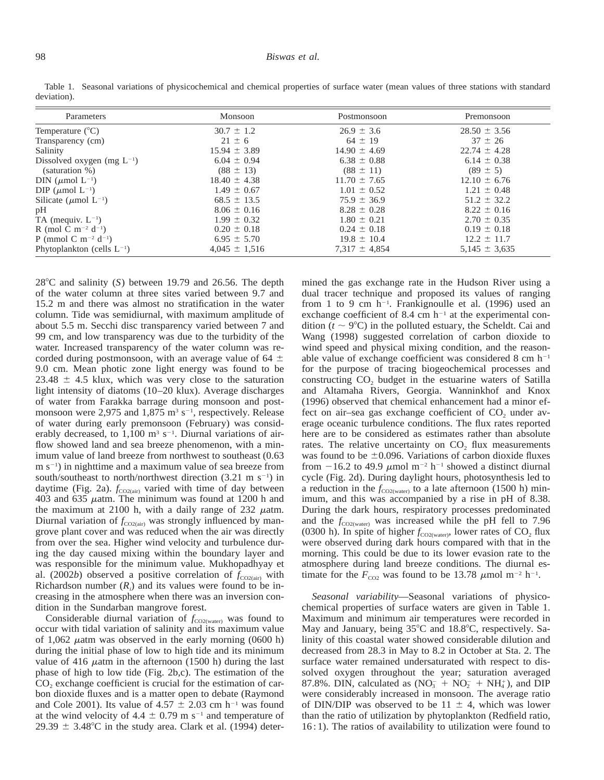#### 98 *Biswas et al.*

| Parameters                                  | Monsoon           | Postmonsoon       | Premonsoon        |
|---------------------------------------------|-------------------|-------------------|-------------------|
| Temperature $(^{\circ}C)$                   | $30.7 \pm 1.2$    | $26.9 \pm 3.6$    | $28.50 \pm 3.56$  |
| Transparency (cm)                           | $21 \pm 6$        | $64 \pm 19$       | $37 \pm 26$       |
| Salinity                                    | $15.94 \pm 3.89$  | $14.90 \pm 4.69$  | $22.74 \pm 4.28$  |
| Dissolved oxygen (mg $L^{-1}$ )             | $6.04 \pm 0.94$   | $6.38 \pm 0.88$   | $6.14 \pm 0.38$   |
| (saturation %)                              | $(88 \pm 13)$     | $(88 \pm 11)$     | $(89 \pm 5)$      |
| DIN ( $\mu$ mol L <sup>-1</sup> )           | $18.40 \pm 4.38$  | $11.70 \pm 7.65$  | $12.10 \pm 6.76$  |
| DIP ( $\mu$ mol L <sup>-1</sup> )           | $1.49 \pm 0.67$   | $1.01 \pm 0.52$   | $1.21 \pm 0.48$   |
| Silicate ( $\mu$ mol L <sup>-1</sup> )      | $68.5 \pm 13.5$   | $75.9 \pm 36.9$   | $51.2 \pm 32.2$   |
| pH                                          | $8.06 \pm 0.16$   | $8.28 \pm 0.28$   | $8.22 \pm 0.16$   |
| TA (mequiv. $L^{-1}$ )                      | $1.99 \pm 0.32$   | $1.80 \pm 0.21$   | $2.70 \pm 0.35$   |
| R (mol C m <sup>-2</sup> d <sup>-1</sup> )  | $0.20 \pm 0.18$   | $0.24 \pm 0.18$   | $0.19 \pm 0.18$   |
| P (mmol C m <sup>-2</sup> d <sup>-1</sup> ) | $6.95 \pm 5.70$   | $19.8 \pm 10.4$   | $12.2 \pm 11.7$   |
| Phytoplankton (cells $L^{-1}$ )             | $4,045 \pm 1,516$ | $7,317 \pm 4,854$ | $5,145 \pm 3,635$ |

Table 1. Seasonal variations of physicochemical and chemical properties of surface water (mean values of three stations with standard deviation).

 $28^{\circ}$ C and salinity (*S*) between 19.79 and 26.56. The depth of the water column at three sites varied between 9.7 and 15.2 m and there was almost no stratification in the water column. Tide was semidiurnal, with maximum amplitude of about 5.5 m. Secchi disc transparency varied between 7 and 99 cm, and low transparency was due to the turbidity of the water. Increased transparency of the water column was recorded during postmonsoon, with an average value of 64  $\pm$ 9.0 cm. Mean photic zone light energy was found to be  $23.48 \pm 4.5$  klux, which was very close to the saturation light intensity of diatoms (10–20 klux). Average discharges of water from Farakka barrage during monsoon and postmonsoon were 2,975 and  $1,875$  m<sup>3</sup> s<sup>-1</sup>, respectively. Release of water during early premonsoon (February) was considerably decreased, to  $1,100 \text{ m}^3 \text{ s}^{-1}$ . Diurnal variations of airflow showed land and sea breeze phenomenon, with a minimum value of land breeze from northwest to southeast (0.63  $m s^{-1}$ ) in nighttime and a maximum value of sea breeze from south/southeast to north/northwest direction  $(3.21 \text{ m s}^{-1})$  in daytime (Fig. 2a).  $f_{\text{CO2(air)}}$  varied with time of day between 403 and 635  $\mu$ atm. The minimum was found at 1200 h and the maximum at 2100 h, with a daily range of 232  $\mu$ atm. Diurnal variation of  $f_{CO2(air)}$  was strongly influenced by mangrove plant cover and was reduced when the air was directly from over the sea. Higher wind velocity and turbulence during the day caused mixing within the boundary layer and was responsible for the minimum value. Mukhopadhyay et al. (2002*b*) observed a positive correlation of  $f_{CO2(air)}$  with Richardson number  $(R_i)$  and its values were found to be increasing in the atmosphere when there was an inversion condition in the Sundarban mangrove forest.

Considerable diurnal variation of *f*<sub>CO2(water)</sub> was found to occur with tidal variation of salinity and its maximum value of 1,062  $\mu$ atm was observed in the early morning (0600 h) during the initial phase of low to high tide and its minimum value of 416  $\mu$ atm in the afternoon (1500 h) during the last phase of high to low tide (Fig. 2b,c). The estimation of the CO<sub>2</sub> exchange coefficient is crucial for the estimation of carbon dioxide fluxes and is a matter open to debate (Raymond and Cole 2001). Its value of 4.57  $\pm$  2.03 cm h<sup>-1</sup> was found at the wind velocity of 4.4  $\pm$  0.79 m s<sup>-1</sup> and temperature of 29.39  $\pm$  3.48°C in the study area. Clark et al. (1994) determined the gas exchange rate in the Hudson River using a dual tracer technique and proposed its values of ranging from 1 to 9 cm  $h^{-1}$ . Frankignoulle et al. (1996) used an exchange coefficient of 8.4 cm  $h^{-1}$  at the experimental condition ( $t \sim 9^{\circ}$ C) in the polluted estuary, the Scheldt. Cai and Wang (1998) suggested correlation of carbon dioxide to wind speed and physical mixing condition, and the reasonable value of exchange coefficient was considered 8 cm  $h^{-1}$ for the purpose of tracing biogeochemical processes and constructing CO<sub>2</sub> budget in the estuarine waters of Satilla and Altamaha Rivers, Georgia. Wanninkhof and Knox (1996) observed that chemical enhancement had a minor effect on air–sea gas exchange coefficient of  $CO<sub>2</sub>$  under average oceanic turbulence conditions. The flux rates reported here are to be considered as estimates rather than absolute rates. The relative uncertainty on CO<sub>2</sub> flux measurements was found to be  $\pm 0.096$ . Variations of carbon dioxide fluxes from  $-16.2$  to 49.9  $\mu$ mol m<sup>-2</sup> h<sup>-1</sup> showed a distinct diurnal cycle (Fig. 2d). During daylight hours, photosynthesis led to a reduction in the  $f_{CO2(water)}$  to a late afternoon (1500 h) minimum, and this was accompanied by a rise in pH of 8.38. During the dark hours, respiratory processes predominated and the  $f_{CO2(water)}$  was increased while the pH fell to 7.96 (0300 h). In spite of higher  $f_{CO2(water)}$ , lower rates of CO<sub>2</sub> flux were observed during dark hours compared with that in the morning. This could be due to its lower evasion rate to the atmosphere during land breeze conditions. The diurnal estimate for the  $F_{CO2}$  was found to be 13.78  $\mu$ mol m<sup>-2</sup> h<sup>-1</sup>.

*Seasonal variability*—Seasonal variations of physicochemical properties of surface waters are given in Table 1. Maximum and minimum air temperatures were recorded in May and January, being  $35^{\circ}$ C and  $18.8^{\circ}$ C, respectively. Salinity of this coastal water showed considerable dilution and decreased from 28.3 in May to 8.2 in October at Sta. 2. The surface water remained undersaturated with respect to dissolved oxygen throughout the year; saturation averaged 87.8%. DIN, calculated as  $(NO_3^- + NO_2^- + NH_4^+)$ , and DIP were considerably increased in monsoon. The average ratio of DIN/DIP was observed to be 11  $\pm$  4, which was lower than the ratio of utilization by phytoplankton (Redfield ratio, 16 : 1). The ratios of availability to utilization were found to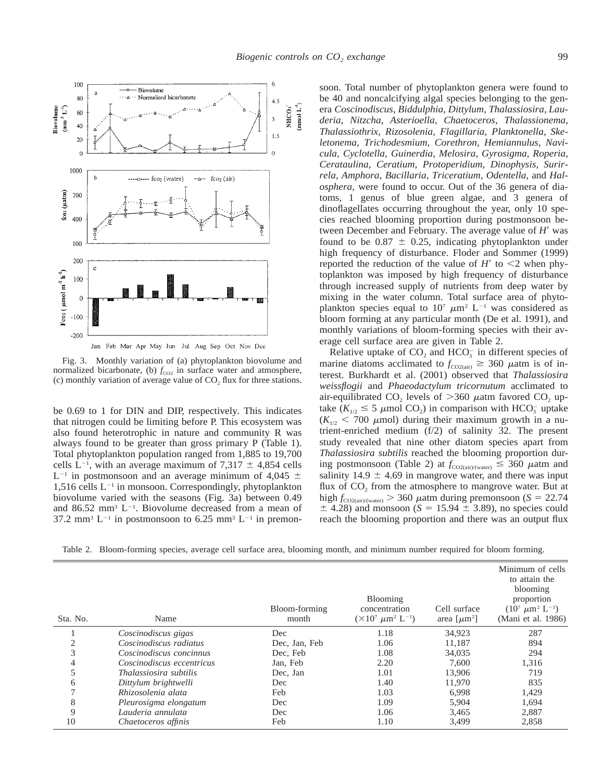

Fig. 3. Monthly variation of (a) phytoplankton biovolume and normalized bicarbonate, (b)  $f_{CO2}$  in surface water and atmosphere, (c) monthly variation of average value of  $CO<sub>2</sub>$  flux for three stations.

be 0.69 to 1 for DIN and DIP, respectively. This indicates that nitrogen could be limiting before P. This ecosystem was also found heterotrophic in nature and community R was always found to be greater than gross primary P (Table 1). Total phytoplankton population ranged from 1,885 to 19,700 cells  $L^{-1}$ , with an average maximum of 7,317  $\pm$  4,854 cells  $L^{-1}$  in postmonsoon and an average minimum of 4,045  $\pm$  $1,516$  cells  $L^{-1}$  in monsoon. Correspondingly, phytoplankton biovolume varied with the seasons (Fig. 3a) between 0.49 and 86.52 mm<sup>3</sup> L<sup>-1</sup>. Biovolume decreased from a mean of 37.2 mm<sup>3</sup> L<sup>-1</sup> in postmonsoon to 6.25 mm<sup>3</sup> L<sup>-1</sup> in premon-

soon. Total number of phytoplankton genera were found to be 40 and noncalcifying algal species belonging to the genera *Coscinodiscus, Biddulphia, Dittylum, Thalassiosira, Lauderia, Nitzcha, Asterioella, Chaetoceros, Thalassionema, Thalassiothrix, Rizosolenia, Flagillaria, Planktonella, Skeletonema, Trichodesmium, Corethron, Hemiannulus, Navicula, Cyclotella, Guinerdia, Melosira, Gyrosigma, Roperia, Cerataulina, Ceratium, Protoperidium, Dinophysis, Surirrela, Amphora, Bacillaria, Triceratium, Odentella,* and *Halosphera,* were found to occur. Out of the 36 genera of diatoms, 1 genus of blue green algae, and 3 genera of dinoflagellates occurring throughout the year, only 10 species reached blooming proportion during postmonsoon between December and February. The average value of *H*<sup> $\prime$ </sup> was found to be  $0.87 \pm 0.25$ , indicating phytoplankton under high frequency of disturbance. Floder and Sommer (1999) reported the reduction of the value of  $H'$  to  $\leq$ 2 when phytoplankton was imposed by high frequency of disturbance through increased supply of nutrients from deep water by mixing in the water column. Total surface area of phytoplankton species equal to  $10^7 \mu m^2$  L<sup>-1</sup> was considered as bloom forming at any particular month (De et al. 1991), and monthly variations of bloom-forming species with their average cell surface area are given in Table 2.

Relative uptake of  $CO<sub>2</sub>$  and  $HCO<sub>3</sub><sup>-</sup>$  in different species of marine diatoms acclimated to  $f_{CO2(air)} \geq 360 \mu$ atm is of interest. Burkhardt et al. (2001) observed that *Thalassiosira weissflogii* and *Phaeodactylum tricornutum* acclimated to air-equilibrated  $CO<sub>2</sub>$  levels of  $>360$   $\mu$ atm favored  $CO<sub>2</sub>$  uptake  $(K_{1/2} \leq 5 \mu \text{mol } CO_2)$  in comparison with HCO<sub>3</sub> uptake  $(K_{1/2}$  < 700  $\mu$ mol) during their maximum growth in a nutrient-enriched medium (f/2) of salinity 32. The present study revealed that nine other diatom species apart from *Thalassiosira subtilis* reached the blooming proportion during postmonsoon (Table 2) at  $f_{CO2(air)/(water)} \leq 360$   $\mu$ atm and salinity  $14.9 \pm 4.69$  in mangrove water, and there was input flux of  $CO<sub>2</sub>$  from the atmosphere to mangrove water. But at high  $f_{\text{CO2}(air)/(water)} > 360$   $\mu$ atm during premonsoon (*S* = 22.74  $\pm$  4.28) and monsoon (*S* = 15.94  $\pm$  3.89), no species could reach the blooming proportion and there was an output flux

Table 2. Bloom-forming species, average cell surface area, blooming month, and minimum number required for bloom forming.

| Sta. No.      | Name                          | Bloom-forming<br>month | <b>Blooming</b><br>concentration<br>$(\times 10^7 \ \mu m^2 \ L^{-1})$ | Cell surface<br>area [ $\mu$ m <sup>2</sup> ] | Minimum of cells<br>to attain the<br>blooming<br>proportion<br>$(10^7 \ \mu m^2 \ L^{-1})$<br>(Mani et al. 1986) |
|---------------|-------------------------------|------------------------|------------------------------------------------------------------------|-----------------------------------------------|------------------------------------------------------------------------------------------------------------------|
|               | Coscinodiscus gigas           | Dec                    | 1.18                                                                   | 34,923                                        | 287                                                                                                              |
| 2             | Coscinodiscus radiatus        | Dec, Jan, Feb          | 1.06                                                                   | 11,187                                        | 894                                                                                                              |
| 3             | Coscinodiscus concinnus       | Dec, Feb               | 1.08                                                                   | 34,035                                        | 294                                                                                                              |
| 4             | Coscinodiscus eccentricus     | Jan, Feb               | 2.20                                                                   | 7.600                                         | 1,316                                                                                                            |
| 5             | <i>Thalassiosira subtilis</i> | Dec, Jan               | 1.01                                                                   | 13,906                                        | 719                                                                                                              |
| 6             | Dittylum brightwelli          | Dec                    | 1.40                                                                   | 11,970                                        | 835                                                                                                              |
| $\mathcal{I}$ | Rhizosolenia alata            | Feb                    | 1.03                                                                   | 6.998                                         | 1,429                                                                                                            |
| 8             | Pleurosigma elongatum         | Dec                    | 1.09                                                                   | 5,904                                         | 1,694                                                                                                            |
| 9             | Lauderia annulata             | Dec                    | 1.06                                                                   | 3,465                                         | 2,887                                                                                                            |
| 10            | Chaetoceros affinis           | Feb                    | 1.10                                                                   | 3,499                                         | 2,858                                                                                                            |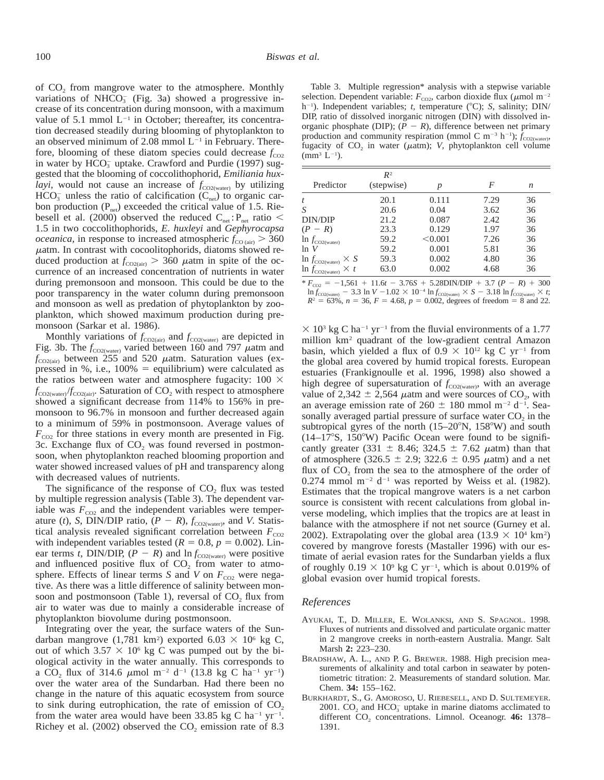of  $CO<sub>2</sub>$  from mangrove water to the atmosphere. Monthly variations of NHCO<sub>3</sub> (Fig. 3a) showed a progressive increase of its concentration during monsoon, with a maximum value of 5.1 mmol  $L^{-1}$  in October; thereafter, its concentration decreased steadily during blooming of phytoplankton to an observed minimum of 2.08 mmol  $L^{-1}$  in February. Therefore, blooming of these diatom species could decrease  $f_{\text{CO2}}$ in water by  $HCO_3^-$  uptake. Crawford and Purdie (1997) suggested that the blooming of coccolithophorid, *Emiliania huxlayi*, would not cause an increase of  $f_{CO2(water)}$  by utilizing  $HCO<sub>3</sub><sup>-</sup>$  unless the ratio of calcification (C<sub>net</sub>) to organic carbon production  $(P_{net})$  exceeded the critical value of 1.5. Riebesell et al. (2000) observed the reduced  $C_{net}$ :  $P_{net}$  ratio < 1.5 in two coccolithophorids, *E. huxleyi* and *Gephyrocapsa oceanica*, in response to increased atmospheric  $f_{CO (air)} > 360$  $\mu$ atm. In contrast with cocoolitophorids, diatoms showed reduced production at  $f_{\text{CO2}(air)} > 360$   $\mu$ atm in spite of the occurrence of an increased concentration of nutrients in water during premonsoon and monsoon. This could be due to the poor transparency in the water column during premonsoon and monsoon as well as predation of phytoplankton by zooplankton, which showed maximum production during premonsoon (Sarkar et al. 1986).

Monthly variations of  $f_{CO2(air)}$  and  $f_{CO2(water)}$  are depicted in Fig. 3b. The  $f_{\text{CO2(water)}}$  varied between 160 and 797  $\mu$ atm and  $f_{\text{CO2}(air)}$  between 255 and 520  $\mu$ atm. Saturation values (expressed in %, i.e.,  $100\%$  = equilibrium) were calculated as the ratios between water and atmosphere fugacity:  $100 \times$  $f_{\text{CO2(water)}}/f_{\text{CO2(air)}}$ . Saturation of  $CO_2$  with respect to atmosphere showed a significant decrease from 114% to 156% in premonsoon to 96.7% in monsoon and further decreased again to a minimum of 59% in postmonsoon. Average values of  $F_{\text{CO2}}$  for three stations in every month are presented in Fig. 3c. Exchange flux of  $CO<sub>2</sub>$  was found reversed in postmonsoon, when phytoplankton reached blooming proportion and water showed increased values of pH and transparency along with decreased values of nutrients.

The significance of the response of  $CO<sub>2</sub>$  flux was tested by multiple regression analysis (Table 3). The dependent variable was  $F_{CO2}$  and the independent variables were temperature (*t*), *S*, DIN/DIP ratio,  $(P - R)$ ,  $f_{CO2(water)}$ , and *V*. Statistical analysis revealed significant correlation between  $F_{CO2}$ with independent variables tested  $(R = 0.8, p = 0.002)$ . Linear terms *t*, DIN/DIP,  $(P - R)$  and  $\ln f_{CO2(water)}$  were positive and influenced positive flux of  $CO<sub>2</sub>$  from water to atmosphere. Effects of linear terms *S* and *V* on  $F_{CO2}$  were negative. As there was a little difference of salinity between monsoon and postmonsoon (Table 1), reversal of  $CO<sub>2</sub>$  flux from air to water was due to mainly a considerable increase of phytoplankton biovolume during postmonsoon.

Integrating over the year, the surface waters of the Sundarban mangrove  $(1,781 \text{ km}^2)$  exported  $6.03 \times 10^6 \text{ kg C}$ , out of which  $3.57 \times 10^6$  kg C was pumped out by the biological activity in the water annually. This corresponds to a CO<sub>2</sub> flux of 314.6  $\mu$ mol m<sup>-2</sup> d<sup>-1</sup> (13.8 kg C ha<sup>-1</sup> yr<sup>-1</sup>) over the water area of the Sundarban. Had there been no change in the nature of this aquatic ecosystem from source to sink during eutrophication, the rate of emission of  $CO<sub>2</sub>$ from the water area would have been 33.85 kg C ha<sup>-1</sup> yr<sup>-1</sup>. Richey et al. (2002) observed the  $CO<sub>2</sub>$  emission rate of 8.3

Table 3. Multiple regression\* analysis with a stepwise variable selection. Dependent variable:  $F_{\text{CO2}}$ , carbon dioxide flux ( $\mu$ mol m<sup>-2</sup> h<sup>-1</sup>). Independent variables; *t*, temperature (°C); *S*, salinity; DIN/ DIP, ratio of dissolved inorganic nitrogen (DIN) with dissolved inorganic phosphate (DIP);  $(P - R)$ , difference between net primary production and community respiration (mmol C m<sup>-3</sup> h<sup>-1</sup>);  $f_{\text{CO2(water)}}$ , fugacity of  $CO<sub>2</sub>$  in water ( $\mu$ atm); *V*, phytoplankton cell volume  $(mm^3 L^{-1}).$ 

|                                      | $R^2$      |         |      |    |
|--------------------------------------|------------|---------|------|----|
| Predictor                            | (stepwise) | р       | F    | n  |
|                                      | 20.1       | 0.111   | 7.29 | 36 |
|                                      | 20.6       | 0.04    | 3.62 | 36 |
| DIN/DIP                              | 21.2       | 0.087   | 2.42 | 36 |
| $(P - R)$                            | 23.3       | 0.129   | 1.97 | 36 |
| $\ln f_{\text{CO2(water)}}$          | 59.2       | < 0.001 | 7.26 | 36 |
| ln V                                 | 59.2       | 0.001   | 5.81 | 36 |
| $\ln f_{\text{CO2(water)}} \times S$ | 59.3       | 0.002   | 4.80 | 36 |
| $\ln f_{\text{CO2(water)}} \times t$ | 63.0       | 0.002   | 4.68 | 36 |

 $*$   $F_{CO2}$  = -1,561 + 11.6*t* - 3.76*S* + 5.28DIN/DIP + 3.7 (*P* - *R*) + 300  $\ln f_{\rm CO2(water)}$   $-$  3.3  $\ln V$   $-1.02 \times 10^{-4} \ln f_{\rm CO2(water)} \times S$   $-$  3.18  $\ln f_{\rm CO2(water)} \times t$ ;  $R^2 = 63\%, n = 36, F = 4.68, p = 0.002$ , degrees of freedom = 8 and 22.

 $\times$  10<sup>3</sup> kg C ha<sup>-1</sup> yr<sup>-1</sup> from the fluvial environments of a 1.77 million km<sup>2</sup> quadrant of the low-gradient central Amazon basin, which yielded a flux of  $0.9 \times 10^{12}$  kg C yr<sup>-1</sup> from the global area covered by humid tropical forests. European estuaries (Frankignoulle et al. 1996, 1998) also showed a high degree of supersaturation of  $f_{CO2(water)}$ , with an average value of 2,342  $\pm$  2,564  $\mu$ atm and were sources of CO<sub>2</sub>, with an average emission rate of  $260 \pm 180$  mmol m<sup>-2</sup> d<sup>-1</sup>. Seasonally averaged partial pressure of surface water  $CO<sub>2</sub>$  in the subtropical gyres of the north  $(15-20^{\circ}N, 158^{\circ}W)$  and south  $(14-17\textdegree S, 150\textdegree W)$  Pacific Ocean were found to be significantly greater (331  $\pm$  8.46; 324.5  $\pm$  7.62  $\mu$ atm) than that of atmosphere (326.5  $\pm$  2.9; 322.6  $\pm$  0.95  $\mu$ atm) and a net flux of  $CO<sub>2</sub>$  from the sea to the atmosphere of the order of  $0.274$  mmol m<sup>-2</sup> d<sup>-1</sup> was reported by Weiss et al. (1982). Estimates that the tropical mangrove waters is a net carbon source is consistent with recent calculations from global inverse modeling, which implies that the tropics are at least in balance with the atmosphere if not net source (Gurney et al. 2002). Extrapolating over the global area  $(13.9 \times 10^4 \text{ km}^2)$ covered by mangrove forests (Mastaller 1996) with our estimate of aerial evasion rates for the Sundarban yields a flux of roughly  $0.19 \times 10^9$  kg C yr<sup>-1</sup>, which is about 0.019% of global evasion over humid tropical forests.

#### *References*

- AYUKAI, T., D. MILLER, E. WOLANKSI, AND S. SPAGNOL. 1998. Fluxes of nutrients and dissolved and particulate organic matter in 2 mangrove creeks in north-eastern Australia. Mangr. Salt Marsh **2:** 223–230.
- BRADSHAW, A. L., AND P. G. BREWER. 1988. High precision measurements of alkalinity and total carbon in seawater by potentiometric titration: 2. Measurements of standard solution. Mar. Chem. **34:** 155–162.
- BURKHARDT, S., G. AMOROSO, U. RIEBESELL, AND D. SULTEMEYER. 2001.  $CO<sub>2</sub>$  and  $HCO<sub>3</sub><sup>-</sup>$  uptake in marine diatoms acclimated to different CO<sub>2</sub> concentrations. Limnol. Oceanogr. 46: 1378– 1391.